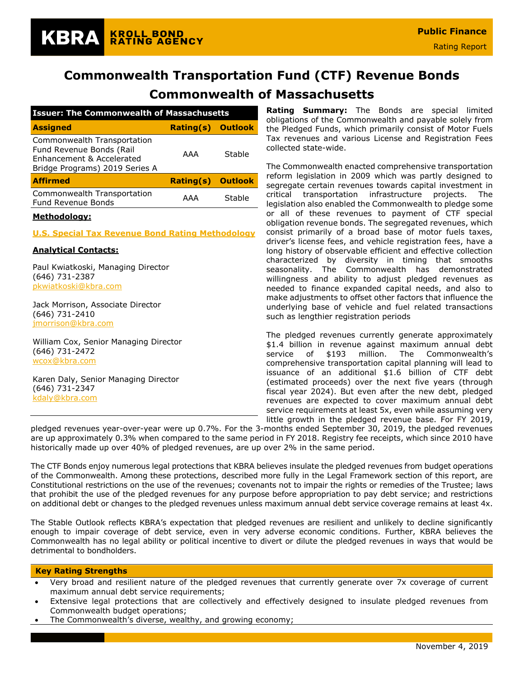# **Commonwealth of Massachusetts**

| <b>Issuer: The Commonwealth of Massachusetts</b>                                                                       |                          |                |  |  |  |  |  |  |
|------------------------------------------------------------------------------------------------------------------------|--------------------------|----------------|--|--|--|--|--|--|
| <b>Assigned</b>                                                                                                        | <b>Rating(s) Outlook</b> |                |  |  |  |  |  |  |
| Commonwealth Transportation<br>Fund Revenue Bonds (Rail<br>Enhancement & Accelerated<br>Bridge Programs) 2019 Series A | AAA                      | Stable         |  |  |  |  |  |  |
| <b>Affirmed</b>                                                                                                        | Rating(s)                | <b>Outlook</b> |  |  |  |  |  |  |
| Commonwealth Transportation<br><b>Fund Revenue Bonds</b>                                                               | AAA                      | Stable         |  |  |  |  |  |  |
| .                                                                                                                      |                          |                |  |  |  |  |  |  |

**KROLL BOND** 

**RATING AGENCY** 

### **Methodology:**

KBRA

#### **[U.S. Special Tax Revenue Bond Rating Methodology](https://documents.krollbondratings.com/report/197/public-finance-u-s-special-tax-revenue-bond-rating-methodology)**

### **Analytical Contacts:**

Paul Kwiatkoski, Managing Director (646) 731-2387 [pkwiatkoski@kbra.com](mailto:pkwiatkoski@kbra.com)

Jack Morrison, Associate Director (646) 731-2410 [jmorrison@kbra.com](mailto:jmorrison@kbra.com)

William Cox, Senior Managing Director (646) 731-2472 [wcox@kbra.com](mailto:wcox@kbra.com)

Karen Daly, Senior Managing Director (646) 731-2347 [kdaly@kbra.com](mailto:kdaly@kbra.com)

**Rating Summary:** The Bonds are special limited obligations of the Commonwealth and payable solely from the Pledged Funds, which primarily consist of Motor Fuels Tax revenues and various License and Registration Fees collected state-wide.

The Commonwealth enacted comprehensive transportation reform legislation in 2009 which was partly designed to segregate certain revenues towards capital investment in critical transportation infrastructure projects. The legislation also enabled the Commonwealth to pledge some or all of these revenues to payment of CTF special obligation revenue bonds. The segregated revenues, which consist primarily of a broad base of motor fuels taxes, driver's license fees, and vehicle registration fees, have a long history of observable efficient and effective collection characterized by diversity in timing that smooths seasonality. The Commonwealth has demonstrated willingness and ability to adjust pledged revenues as needed to finance expanded capital needs, and also to make adjustments to offset other factors that influence the underlying base of vehicle and fuel related transactions such as lengthier registration periods

The pledged revenues currently generate approximately \$1.4 billion in revenue against maximum annual debt service of \$193 million. The Commonwealth's comprehensive transportation capital planning will lead to issuance of an additional \$1.6 billion of CTF debt (estimated proceeds) over the next five years (through fiscal year 2024). But even after the new debt, pledged revenues are expected to cover maximum annual debt service requirements at least 5x, even while assuming very little growth in the pledged revenue base. For FY 2019,

pledged revenues year-over-year were up 0.7%. For the 3-months ended September 30, 2019, the pledged revenues are up approximately 0.3% when compared to the same period in FY 2018. Registry fee receipts, which since 2010 have historically made up over 40% of pledged revenues, are up over 2% in the same period.

The CTF Bonds enjoy numerous legal protections that KBRA believes insulate the pledged revenues from budget operations of the Commonwealth. Among these protections, described more fully in the Legal Framework section of this report, are Constitutional restrictions on the use of the revenues; covenants not to impair the rights or remedies of the Trustee; laws that prohibit the use of the pledged revenues for any purpose before appropriation to pay debt service; and restrictions on additional debt or changes to the pledged revenues unless maximum annual debt service coverage remains at least 4x.

The Stable Outlook reflects KBRA's expectation that pledged revenues are resilient and unlikely to decline significantly enough to impair coverage of debt service, even in very adverse economic conditions. Further, KBRA believes the Commonwealth has no legal ability or political incentive to divert or dilute the pledged revenues in ways that would be detrimental to bondholders.

#### **Key Rating Strengths**

- Very broad and resilient nature of the pledged revenues that currently generate over 7x coverage of current maximum annual debt service requirements;
- Extensive legal protections that are collectively and effectively designed to insulate pledged revenues from Commonwealth budget operations;
- The Commonwealth's diverse, wealthy, and growing economy;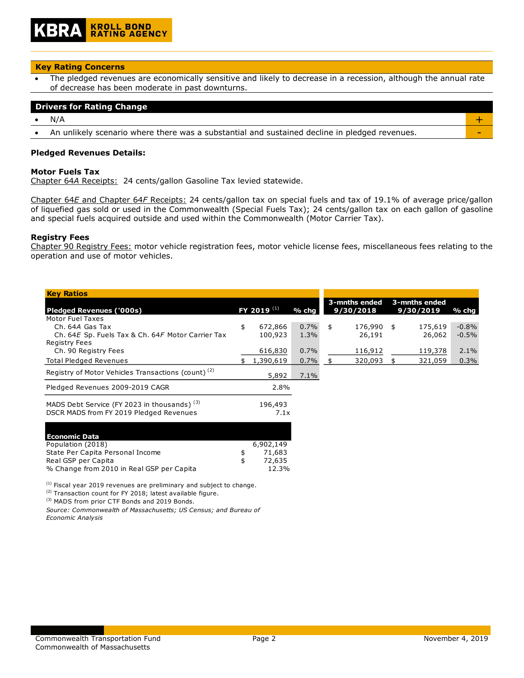### **Key Rating Concerns**

The pledged revenues are economically sensitive and likely to decrease in a recession, although the annual rate of decrease has been moderate in past downturns.

### **Drivers for Rating Change**

• N/A  $+$ 

An unlikely scenario where there was a substantial and sustained decline in pledged revenues.

### **Pledged Revenues Details:**

### **Motor Fuels Tax**

Chapter 64*A* Receipts: 24 cents/gallon Gasoline Tax levied statewide.

Chapter 64*E* and Chapter 64*F* Receipts: 24 cents/gallon tax on special fuels and tax of 19.1% of average price/gallon of liquefied gas sold or used in the Commonwealth (Special Fuels Tax); 24 cents/gallon tax on each gallon of gasoline and special fuels acquired outside and used within the Commonwealth (Motor Carrier Tax).

### **Registry Fees**

Chapter 90 Registry Fees: motor vehicle registration fees, motor vehicle license fees, miscellaneous fees relating to the operation and use of motor vehicles.

| <b>Key Ratios</b>                                                                                  |                        |         |                  |    |               |          |
|----------------------------------------------------------------------------------------------------|------------------------|---------|------------------|----|---------------|----------|
|                                                                                                    |                        |         | 3-mnths ended    |    | 3-mnths ended |          |
| <b>Pledged Revenues ('000s)</b>                                                                    | FY 2019 <sup>(1)</sup> | $%$ chg | 9/30/2018        |    | 9/30/2019     | % chg    |
| Motor Fuel Taxes                                                                                   |                        |         |                  |    |               |          |
| Ch. 64A Gas Tax                                                                                    | \$<br>672,866          | 0.7%    | \$<br>176,990 \$ |    | 175,619       | $-0.8%$  |
| Ch. 64E Sp. Fuels Tax & Ch. 64F Motor Carrier Tax                                                  | 100,923                | 1.3%    | 26,191           |    | 26,062        | $-0.5\%$ |
| <b>Registry Fees</b>                                                                               |                        |         |                  |    |               |          |
| Ch. 90 Registry Fees                                                                               | 616,830                | 0.7%    | 116,912          |    | 119,378       | 2.1%     |
| <b>Total Pledged Revenues</b>                                                                      | 1,390,619              | 0.7%    | 320,093          | Æ, | 321,059       | 0.3%     |
| Registry of Motor Vehicles Transactions (count) <sup>(2)</sup>                                     | 5,892                  | 7.1%    |                  |    |               |          |
| Pledged Revenues 2009-2019 CAGR                                                                    | 2.8%                   |         |                  |    |               |          |
| MADS Debt Service (FY 2023 in thousands) <sup>(3)</sup><br>DSCR MADS from FY 2019 Pledged Revenues | 196,493<br>7.1x        |         |                  |    |               |          |

| <b>Economic Data</b>                      |              |
|-------------------------------------------|--------------|
| Population (2018)                         | 6,902,149    |
| State Per Capita Personal Income          | 71,683       |
| Real GSP per Capita                       | \$<br>72,635 |
| % Change from 2010 in Real GSP per Capita | 12.3%        |

 $<sup>(1)</sup>$  Fiscal year 2019 revenues are preliminary and subject to change.</sup>

(2) Transaction count for FY 2018; latest available figure.

(3) MADS from prior CTF Bonds and 2019 Bonds.

*Source: Commonwealth of Massachusetts; US Census; and Bureau of Economic Analysis*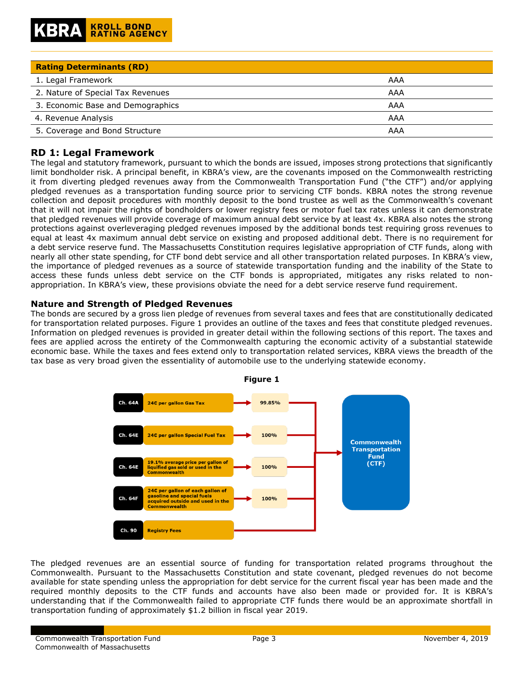| <b>Rating Determinants (RD)</b>   |     |
|-----------------------------------|-----|
| 1. Legal Framework                | AAA |
| 2. Nature of Special Tax Revenues | AAA |
| 3. Economic Base and Demographics | AAA |
| 4. Revenue Analysis               | AAA |
| 5. Coverage and Bond Structure    | AAA |

# **RD 1: Legal Framework**

The legal and statutory framework, pursuant to which the bonds are issued, imposes strong protections that significantly limit bondholder risk. A principal benefit, in KBRA's view, are the covenants imposed on the Commonwealth restricting it from diverting pledged revenues away from the Commonwealth Transportation Fund ("the CTF") and/or applying pledged revenues as a transportation funding source prior to servicing CTF bonds. KBRA notes the strong revenue collection and deposit procedures with monthly deposit to the bond trustee as well as the Commonwealth's covenant that it will not impair the rights of bondholders or lower registry fees or motor fuel tax rates unless it can demonstrate that pledged revenues will provide coverage of maximum annual debt service by at least 4x. KBRA also notes the strong protections against overleveraging pledged revenues imposed by the additional bonds test requiring gross revenues to equal at least 4x maximum annual debt service on existing and proposed additional debt. There is no requirement for a debt service reserve fund. The Massachusetts Constitution requires legislative appropriation of CTF funds, along with nearly all other state spending, for CTF bond debt service and all other transportation related purposes. In KBRA's view, the importance of pledged revenues as a source of statewide transportation funding and the inability of the State to access these funds unless debt service on the CTF bonds is appropriated, mitigates any risks related to nonappropriation. In KBRA's view, these provisions obviate the need for a debt service reserve fund requirement.

### **Nature and Strength of Pledged Revenues**

The bonds are secured by a gross lien pledge of revenues from several taxes and fees that are constitutionally dedicated for transportation related purposes. Figure 1 provides an outline of the taxes and fees that constitute pledged revenues. Information on pledged revenues is provided in greater detail within the following sections of this report. The taxes and fees are applied across the entirety of the Commonwealth capturing the economic activity of a substantial statewide economic base. While the taxes and fees extend only to transportation related services, KBRA views the breadth of the tax base as very broad given the essentiality of automobile use to the underlying statewide economy.



The pledged revenues are an essential source of funding for transportation related programs throughout the Commonwealth. Pursuant to the Massachusetts Constitution and state covenant, pledged revenues do not become available for state spending unless the appropriation for debt service for the current fiscal year has been made and the required monthly deposits to the CTF funds and accounts have also been made or provided for. It is KBRA's understanding that if the Commonwealth failed to appropriate CTF funds there would be an approximate shortfall in transportation funding of approximately \$1.2 billion in fiscal year 2019.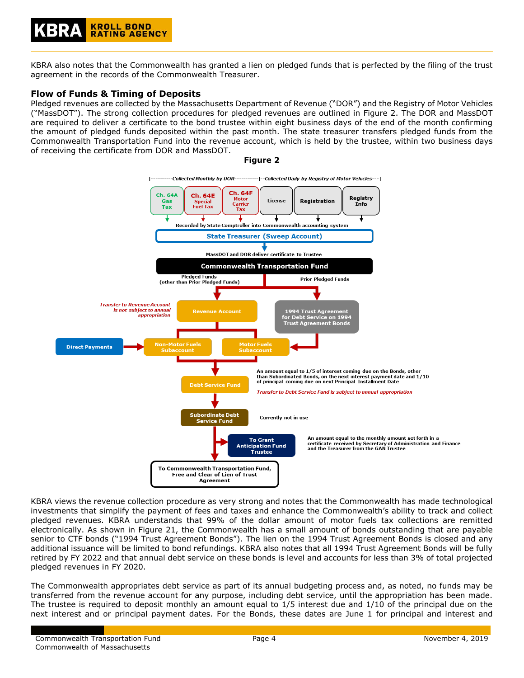KBRA also notes that the Commonwealth has granted a lien on pledged funds that is perfected by the filing of the trust agreement in the records of the Commonwealth Treasurer.

# **Flow of Funds & Timing of Deposits**

Pledged revenues are collected by the Massachusetts Department of Revenue ("DOR") and the Registry of Motor Vehicles ("MassDOT"). The strong collection procedures for pledged revenues are outlined in Figure 2. The DOR and MassDOT are required to deliver a certificate to the bond trustee within eight business days of the end of the month confirming the amount of pledged funds deposited within the past month. The state treasurer transfers pledged funds from the Commonwealth Transportation Fund into the revenue account, which is held by the trustee, within two business days of receiving the certificate from DOR and MassDOT.



**Figure 2**

KBRA views the revenue collection procedure as very strong and notes that the Commonwealth has made technological investments that simplify the payment of fees and taxes and enhance the Commonwealth's ability to track and collect pledged revenues. KBRA understands that 99% of the dollar amount of motor fuels tax collections are remitted electronically. As shown in Figure 21, the Commonwealth has a small amount of bonds outstanding that are payable senior to CTF bonds ("1994 Trust Agreement Bonds"). The lien on the 1994 Trust Agreement Bonds is closed and any additional issuance will be limited to bond refundings. KBRA also notes that all 1994 Trust Agreement Bonds will be fully retired by FY 2022 and that annual debt service on these bonds is level and accounts for less than 3% of total projected pledged revenues in FY 2020.

The Commonwealth appropriates debt service as part of its annual budgeting process and, as noted, no funds may be transferred from the revenue account for any purpose, including debt service, until the appropriation has been made. The trustee is required to deposit monthly an amount equal to 1/5 interest due and 1/10 of the principal due on the next interest and or principal payment dates. For the Bonds, these dates are June 1 for principal and interest and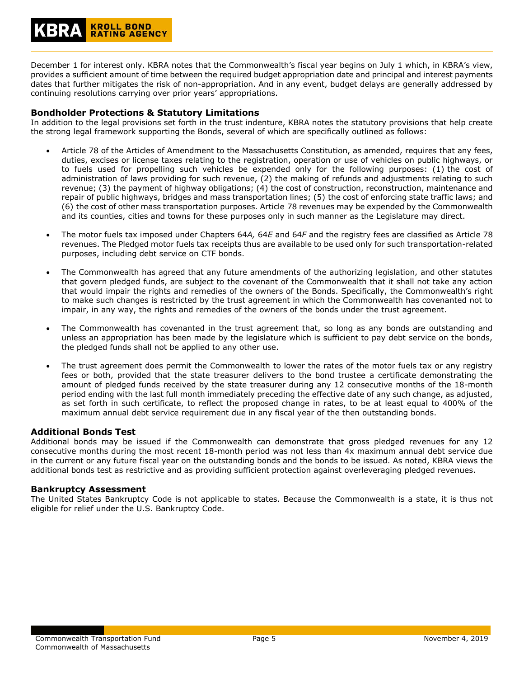December 1 for interest only. KBRA notes that the Commonwealth's fiscal year begins on July 1 which, in KBRA's view, provides a sufficient amount of time between the required budget appropriation date and principal and interest payments dates that further mitigates the risk of non-appropriation. And in any event, budget delays are generally addressed by continuing resolutions carrying over prior years' appropriations.

### **Bondholder Protections & Statutory Limitations**

In addition to the legal provisions set forth in the trust indenture, KBRA notes the statutory provisions that help create the strong legal framework supporting the Bonds, several of which are specifically outlined as follows:

- Article 78 of the Articles of Amendment to the Massachusetts Constitution, as amended, requires that any fees, duties, excises or license taxes relating to the registration, operation or use of vehicles on public highways, or to fuels used for propelling such vehicles be expended only for the following purposes: (1) the cost of administration of laws providing for such revenue, (2) the making of refunds and adjustments relating to such revenue; (3) the payment of highway obligations; (4) the cost of construction, reconstruction, maintenance and repair of public highways, bridges and mass transportation lines; (5) the cost of enforcing state traffic laws; and (6) the cost of other mass transportation purposes. Article 78 revenues may be expended by the Commonwealth and its counties, cities and towns for these purposes only in such manner as the Legislature may direct.
- The motor fuels tax imposed under Chapters 64*A,* 64*E* and 64*F* and the registry fees are classified as Article 78 revenues. The Pledged motor fuels tax receipts thus are available to be used only for such transportation-related purposes, including debt service on CTF bonds.
- The Commonwealth has agreed that any future amendments of the authorizing legislation, and other statutes that govern pledged funds, are subject to the covenant of the Commonwealth that it shall not take any action that would impair the rights and remedies of the owners of the Bonds. Specifically, the Commonwealth's right to make such changes is restricted by the trust agreement in which the Commonwealth has covenanted not to impair, in any way, the rights and remedies of the owners of the bonds under the trust agreement.
- The Commonwealth has covenanted in the trust agreement that, so long as any bonds are outstanding and unless an appropriation has been made by the legislature which is sufficient to pay debt service on the bonds, the pledged funds shall not be applied to any other use.
- The trust agreement does permit the Commonwealth to lower the rates of the motor fuels tax or any registry fees or both, provided that the state treasurer delivers to the bond trustee a certificate demonstrating the amount of pledged funds received by the state treasurer during any 12 consecutive months of the 18-month period ending with the last full month immediately preceding the effective date of any such change, as adjusted, as set forth in such certificate, to reflect the proposed change in rates, to be at least equal to 400% of the maximum annual debt service requirement due in any fiscal year of the then outstanding bonds.

### **Additional Bonds Test**

Additional bonds may be issued if the Commonwealth can demonstrate that gross pledged revenues for any 12 consecutive months during the most recent 18-month period was not less than 4x maximum annual debt service due in the current or any future fiscal year on the outstanding bonds and the bonds to be issued. As noted, KBRA views the additional bonds test as restrictive and as providing sufficient protection against overleveraging pledged revenues.

### **Bankruptcy Assessment**

The United States Bankruptcy Code is not applicable to states. Because the Commonwealth is a state, it is thus not eligible for relief under the U.S. Bankruptcy Code.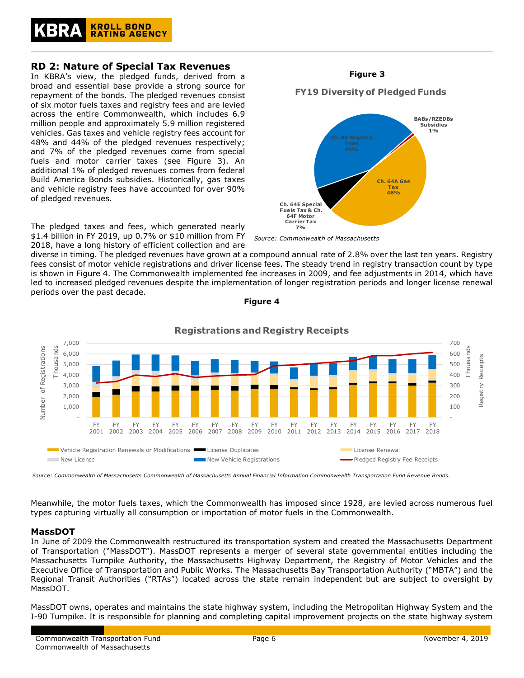

# **RD 2: Nature of Special Tax Revenues**

In KBRA's view, the pledged funds, derived from a broad and essential base provide a strong source for repayment of the bonds. The pledged revenues consist of six motor fuels taxes and registry fees and are levied across the entire Commonwealth, which includes 6.9 million people and approximately 5.9 million registered vehicles. Gas taxes and vehicle registry fees account for 48% and 44% of the pledged revenues respectively; and 7% of the pledged revenues come from special fuels and motor carrier taxes (see Figure 3). An additional 1% of pledged revenues comes from federal Build America Bonds subsidies. Historically, gas taxes and vehicle registry fees have accounted for over 90% of pledged revenues.

The pledged taxes and fees, which generated nearly \$1.4 billion in FY 2019, up 0.7% or \$10 million from FY 2018, have a long history of efficient collection and are

diverse in timing. The pledged revenues have grown at a compound annual rate of 2.8% over the last ten years. Registry fees consist of motor vehicle registrations and driver license fees. The steady trend in registry transaction count by type is shown in Figure 4. The Commonwealth implemented fee increases in 2009, and fee adjustments in 2014, which have led to increased pledged revenues despite the implementation of longer registration periods and longer license renewal periods over the past decade.



### **Figure 4**

*Source: Commonwealth of Massachusetts Commonwealth of Massachusetts Annual Financial Information Commonwealth Transportation Fund Revenue Bonds.*

Meanwhile, the motor fuels taxes, which the Commonwealth has imposed since 1928, are levied across numerous fuel types capturing virtually all consumption or importation of motor fuels in the Commonwealth.

### **MassDOT**

In June of 2009 the Commonwealth restructured its transportation system and created the Massachusetts Department of Transportation ("MassDOT"). MassDOT represents a merger of several state governmental entities including the Massachusetts Turnpike Authority, the Massachusetts Highway Department, the Registry of Motor Vehicles and the Executive Office of Transportation and Public Works. The Massachusetts Bay Transportation Authority ("MBTA") and the Regional Transit Authorities ("RTAs") located across the state remain independent but are subject to oversight by MassDOT.

MassDOT owns, operates and maintains the state highway system, including the Metropolitan Highway System and the I-90 Turnpike. It is responsible for planning and completing capital improvement projects on the state highway system

# **Figure 3**

# **FY19 Diversity of Pledged Funds**

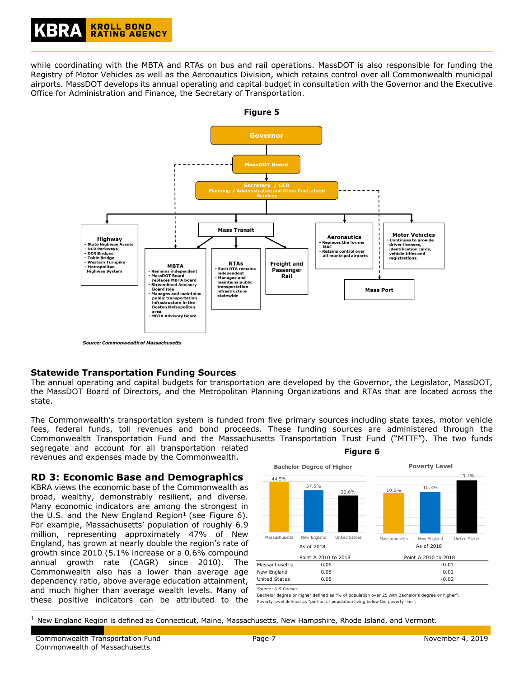while coordinating with the MBTA and RTAs on bus and rail operations. MassDOT is also responsible for funding the Registry of Motor Vehicles as well as the Aeronautics Division, which retains control over all Commonwealth municipal airports. MassDOT develops its annual operating and capital budget in consultation with the Governor and the Executive Office for Administration and Finance, the Secretary of Transportation.



# **Statewide Transportation Funding Sources**

The annual operating and capital budgets for transportation are developed by the Governor, the Legislator, MassDOT, the MassDOT Board of Directors, and the Metropolitan Planning Organizations and RTAs that are located across the state.

The Commonwealth's transportation system is funded from five primary sources including state taxes, motor vehicle fees, federal funds, toll revenues and bond proceeds. These funding sources are administered through the Commonwealth Transportation Fund and the Massachusetts Transportation Trust Fund ("MTTF"). The two funds segregate and account for all transportation related revenues and expenses made by the Commonwealth. **Figure 6**

### **RD 3: Economic Base and Demographics**

KBRA views the economic base of the Commonwealth as broad, wealthy, demonstrably resilient, and diverse. Many economic indicators are among the strongest in the U.S. and the New England Region<sup>1</sup> (see Figure 6). For example, Massachusetts' population of roughly 6.9 million, representing approximately 47% of New England, has grown at nearly double the region's rate of growth since 2010 (5.1% increase or a 0.6% compound annual growth rate (CAGR) since 2010). The Commonwealth also has a lower than average age dependency ratio, above average education attainment, and much higher than average wealth levels. Many of these positive indicators can be attributed to the



*Source: U.S Census*

Bachelor degree or higher defined as "% of population over 25 with Bachelor's degree or higher". Poverty level defined as "portion of population living below the poverty line".

ł

 $<sup>1</sup>$  New England Region is defined as Connecticut, Maine, Massachusetts, New Hampshire, Rhode Island, and Vermont.</sup>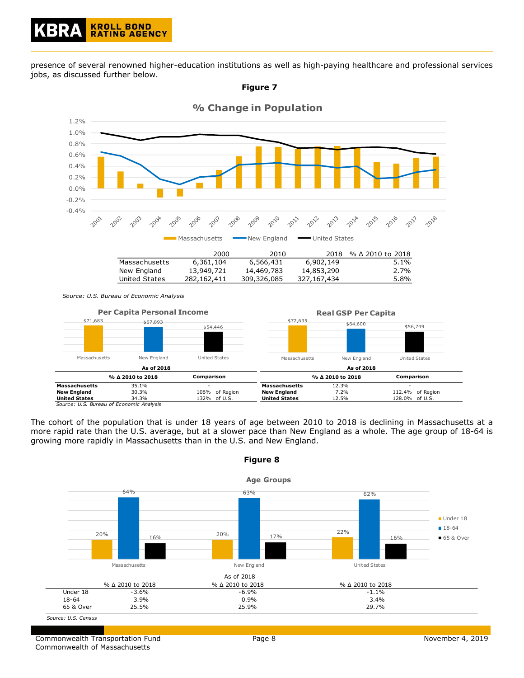presence of several renowned higher-education institutions as well as high-paying healthcare and professional services jobs, as discussed further below.







| Massachusetts        | New England                              |            | United States  | Massachusetts        | New England      | United States    |
|----------------------|------------------------------------------|------------|----------------|----------------------|------------------|------------------|
|                      | As of 2018                               |            |                |                      | As of 2018       |                  |
|                      | % ∆ 2010 to 2018                         | Comparison |                |                      | % ∆ 2010 to 2018 | Comparison       |
| <b>Massachusetts</b> | 35.1%                                    |            |                | <b>Massachusetts</b> | 12.3%            |                  |
| <b>New England</b>   | 30.3%                                    |            | 106% of Region | <b>New England</b>   | 7.2%             | 112.4% of Region |
| <b>United States</b> | 34.3%                                    |            | 132% of U.S.   | <b>United States</b> | 12.5%            | 128.0% of U.S.   |
|                      | Source: U.S. Bureau of Economic Analysis |            |                |                      |                  |                  |

The cohort of the population that is under 18 years of age between 2010 to 2018 is declining in Massachusetts at a more rapid rate than the U.S. average, but at a slower pace than New England as a whole. The age group of 18-64 is growing more rapidly in Massachusetts than in the U.S. and New England.



**Figure 8**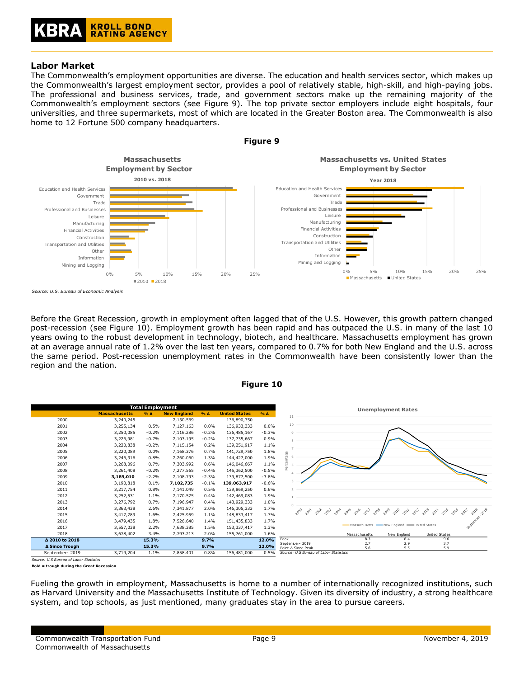# **Labor Market**

The Commonwealth's employment opportunities are diverse. The education and health services sector, which makes up the Commonwealth's largest employment sector, provides a pool of relatively stable, high-skill, and high-paying jobs. The professional and business services, trade, and government sectors make up the remaining majority of the Commonwealth's employment sectors (see Figure 9). The top private sector employers include eight hospitals, four universities, and three supermarkets, most of which are located in the Greater Boston area. The Commonwealth is also home to 12 Fortune 500 company headquarters.



Before the Great Recession, growth in employment often lagged that of the U.S. However, this growth pattern changed post-recession (see Figure 10). Employment growth has been rapid and has outpaced the U.S. in many of the last 10 years owing to the robust development in technology, biotech, and healthcare. Massachusetts employment has grown at an average annual rate of 1.2% over the last ten years, compared to 0.7% for both New England and the U.S. across the same period. Post-recession unemployment rates in the Commonwealth have been consistently lower than the region and the nation.





*Source: U.S Bureau of Labor Statistics*

**Bold = trough during the Great Recession**

Fueling the growth in employment, Massachusetts is home to a number of internationally recognized institutions, such as Harvard University and the Massachusetts Institute of Technology. Given its diversity of industry, a strong healthcare system, and top schools, as just mentioned, many graduates stay in the area to pursue careers.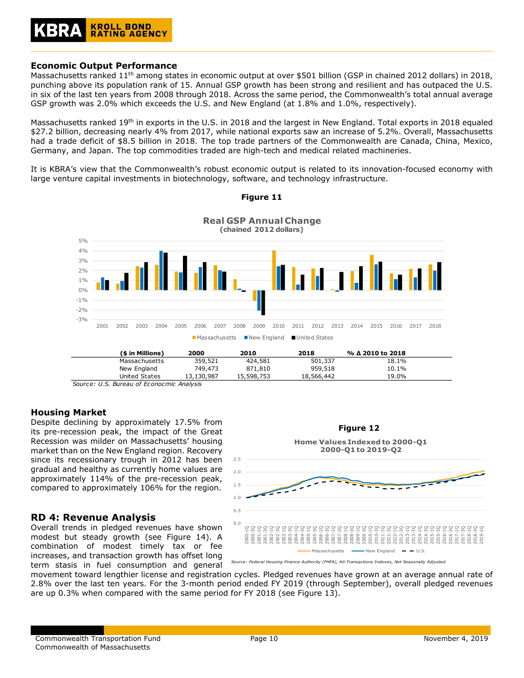### **KROLL BOND RATING AGENCY**

### **Economic Output Performance**

Massachusetts ranked 11<sup>th</sup> among states in economic output at over \$501 billion (GSP in chained 2012 dollars) in 2018, punching above its population rank of 15. Annual GSP growth has been strong and resilient and has outpaced the U.S. in six of the last ten years from 2008 through 2018. Across the same period, the Commonwealth's total annual average GSP growth was 2.0% which exceeds the U.S. and New England (at 1.8% and 1.0%, respectively).

Massachusetts ranked 19<sup>th</sup> in exports in the U.S. in 2018 and the largest in New England. Total exports in 2018 equaled \$27.2 billion, decreasing nearly 4% from 2017, while national exports saw an increase of 5.2%. Overall, Massachusetts had a trade deficit of \$8.5 billion in 2018. The top trade partners of the Commonwealth are Canada, China, Mexico, Germany, and Japan. The top commodities traded are high-tech and medical related machineries.

It is KBRA's view that the Commonwealth's robust economic output is related to its innovation-focused economy with large venture capital investments in biotechnology, software, and technology infrastructure.



**Figure 11**

*Source: U.S. Bureau of Econocmic Analysis*

### **Housing Market**

Despite declining by approximately 17.5% from its pre-recession peak, the impact of the Great Recession was milder on Massachusetts' housing market than on the New England region. Recovery since its recessionary trough in 2012 has been gradual and healthy as currently home values are approximately 114% of the pre-recession peak, compared to approximately 106% for the region.

# **RD 4: Revenue Analysis**

Overall trends in pledged revenues have shown modest but steady growth (see Figure 14). A combination of modest timely tax or fee increases, and transaction growth has offset long term stasis in fuel consumption and general



movement toward lengthier license and registration cycles. Pledged revenues have grown at an average annual rate of 2.8% over the last ten years. For the 3-month period ended FY 2019 (through September), overall pledged revenues are up 0.3% when compared with the same period for FY 2018 (see Figure 13).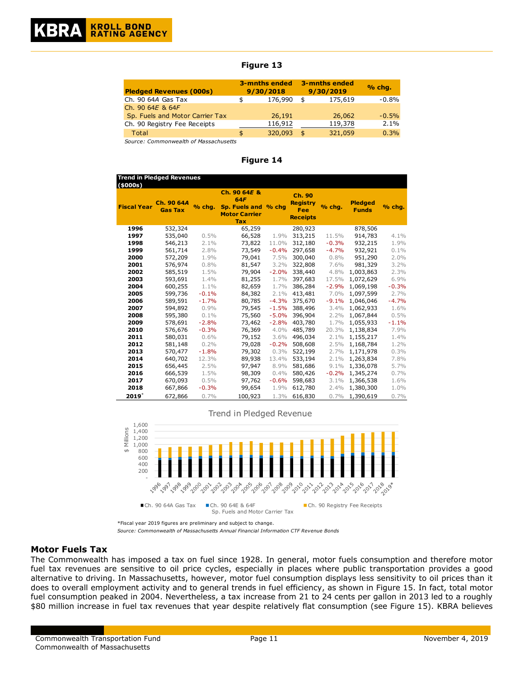### **Figure 13**

| <b>Pledged Revenues (000s)</b>  |     | 3-mnths ended<br>9/30/2018 |      | 3-mnths ended<br>9/30/2019 | % chg.  |
|---------------------------------|-----|----------------------------|------|----------------------------|---------|
| Ch. 90 64A Gas Tax              | \$  | 176,990                    | \$   | 175,619                    | $-0.8%$ |
| Ch. 90 64E & 64F                |     |                            |      |                            |         |
| Sp. Fuels and Motor Carrier Tax |     | 26,191                     |      | 26,062                     | $-0.5%$ |
| Ch. 90 Registry Fee Receipts    |     | 116,912                    |      | 119,378                    | 2.1%    |
| Total                           | \$. | 320,093                    | - \$ | 321,059                    | 0.3%    |

*Source: Commonwealth of Massachusetts*

#### **Figure 14**

| (\$000s)           | <b>Trend in Pledged Revenues</b> |         |                                                                                   |         |                                                            |         |                                |         |
|--------------------|----------------------------------|---------|-----------------------------------------------------------------------------------|---------|------------------------------------------------------------|---------|--------------------------------|---------|
| <b>Fiscal Year</b> | Ch. 90 64A<br><b>Gas Tax</b>     | % chg.  | Ch. 90 64E &<br><b>64F</b><br>Sp. Fuels and<br><b>Motor Carrier</b><br><b>Tax</b> | $%$ cha | <b>Ch. 90</b><br><b>Registry</b><br>Fee<br><b>Receipts</b> | % chg.  | <b>Pledged</b><br><b>Funds</b> | % chg.  |
| 1996               | 532,324                          |         | 65,259                                                                            |         | 280,923                                                    |         | 878,506                        |         |
| 1997               | 535,040                          | 0.5%    | 66,528                                                                            | 1.9%    | 313,215                                                    | 11.5%   | 914,783                        | 4.1%    |
| 1998               | 546,213                          | 2.1%    | 73,822                                                                            | 11.0%   | 312,180                                                    | $-0.3%$ | 932,215                        | 1.9%    |
| 1999               | 561,714                          | 2.8%    | 73,549                                                                            | $-0.4%$ | 297,658                                                    | $-4.7%$ | 932,921                        | 0.1%    |
| 2000               | 572,209                          | 1.9%    | 79,041                                                                            | 7.5%    | 300,040                                                    | 0.8%    | 951,290                        | 2.0%    |
| 2001               | 576,974                          | 0.8%    | 81,547                                                                            | 3.2%    | 322,808                                                    | 7.6%    | 981,329                        | 3.2%    |
| 2002               | 585,519                          | 1.5%    | 79,904                                                                            | $-2.0%$ | 338,440                                                    | 4.8%    | 1,003,863                      | 2.3%    |
| 2003               | 593,691                          | 1.4%    | 81,255                                                                            | 1.7%    | 397,683                                                    | 17.5%   | 1,072,629                      | 6.9%    |
| 2004               | 600,255                          | 1.1%    | 82,659                                                                            | 1.7%    | 386,284                                                    | $-2.9%$ | 1,069,198                      | $-0.3%$ |
| 2005               | 599,736                          | $-0.1%$ | 84,382                                                                            | $2.1\%$ | 413,481                                                    | 7.0%    | 1,097,599                      | 2.7%    |
| 2006               | 589,591                          | $-1.7%$ | 80,785                                                                            | $-4.3%$ | 375,670                                                    | $-9.1%$ | 1,046,046                      | $-4.7%$ |
| 2007               | 594,892                          | 0.9%    | 79,545                                                                            | $-1.5%$ | 388,496                                                    | 3.4%    | 1,062,933                      | 1.6%    |
| 2008               | 595,380                          | 0.1%    | 75,560                                                                            | $-5.0%$ | 396,904                                                    | 2.2%    | 1,067,844                      | 0.5%    |
| 2009               | 578,691                          | $-2.8%$ | 73,462                                                                            | $-2.8%$ | 403,780                                                    | 1.7%    | 1,055,933                      | $-1.1%$ |
| 2010               | 576,676                          | $-0.3%$ | 76,369                                                                            | 4.0%    | 485,789                                                    | 20.3%   | 1,138,834                      | 7.9%    |
| 2011               | 580,031                          | 0.6%    | 79,152                                                                            | 3.6%    | 496,034                                                    | 2.1%    | 1,155,217                      | 1.4%    |
| 2012               | 581,148                          | 0.2%    | 79,028                                                                            | $-0.2%$ | 508,608                                                    | 2.5%    | 1,168,784                      | 1.2%    |
| 2013               | 570,477                          | $-1.8%$ | 79,302                                                                            | 0.3%    | 522,199                                                    | 2.7%    | 1,171,978                      | 0.3%    |
| 2014               | 640,702                          | 12.3%   | 89,938                                                                            | 13.4%   | 533,194                                                    | 2.1%    | 1,263,834                      | 7.8%    |
| 2015               | 656,445                          | 2.5%    | 97,947                                                                            | 8.9%    | 581,686                                                    | 9.1%    | 1,336,078                      | 5.7%    |
| 2016               | 666,539                          | 1.5%    | 98,309                                                                            | $0.4\%$ | 580,426                                                    | $-0.2%$ | 1,345,274                      | 0.7%    |
| 2017               | 670,093                          | 0.5%    | 97,762                                                                            | $-0.6%$ | 598,683                                                    | 3.1%    | 1,366,538                      | 1.6%    |
| 2018               | 667,866                          | $-0.3%$ | 99,654                                                                            | 1.9%    | 612,780                                                    | 2.4%    | 1,380,300                      | 1.0%    |
| $\textbf{2019}^*$  | 672,866                          | 0.7%    | 100,923                                                                           | 1.3%    | 616,830                                                    | 0.7%    | 1,390,619                      | 0.7%    |

Trend in Pledged Revenue



\*Fiscal year 2019 figures are preliminary and subject to change. *Source: Commonwealth of Massachusetts Annual Financial Information CTF Revenue Bonds*

### **Motor Fuels Tax**

The Commonwealth has imposed a tax on fuel since 1928. In general, motor fuels consumption and therefore motor fuel tax revenues are sensitive to oil price cycles, especially in places where public transportation provides a good alternative to driving. In Massachusetts, however, motor fuel consumption displays less sensitivity to oil prices than it does to overall employment activity and to general trends in fuel efficiency, as shown in Figure 15. In fact, total motor fuel consumption peaked in 2004. Nevertheless, a tax increase from 21 to 24 cents per gallon in 2013 led to a roughly \$80 million increase in fuel tax revenues that year despite relatively flat consumption (see Figure 15). KBRA believes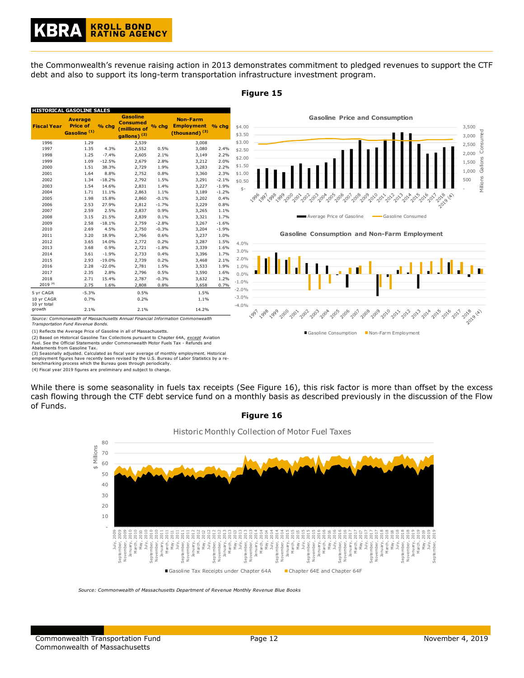the Commonwealth's revenue raising action in 2013 demonstrates commitment to pledged revenues to support the CTF debt and also to support its long-term transportation infrastructure investment program.



**Figure 15**

*Transportation Fund Revenue Bonds.*

(1) Reflects the Average Price of Gasoline in all of Massachusetts.

(2) Based on Historical Gasoline Tax Collections pursuant to Chapter 64A, *except* Aviation Fuel. See the Official Statements under Commonwealth Motor Fuels Tax - Refunds and

Abatements from Gasoline Tax.

(3) Seasonally adjusted. Calculated as fiscal year average of monthly employment. Historical

employment figures have recently been revised by the U.S. Bureau of Labor Statistics by a re-benchmarking process which the Bureau goes through periodically.

(4) Fiscal year 2019 figures are preliminary and subject to change.

While there is some seasonality in fuels tax receipts (See Figure 16), this risk factor is more than offset by the excess cash flowing through the CTF debt service fund on a monthly basis as described previously in the discussion of the Flow of Funds.





*Source: Commonwealth of Massachusetts Department of Revenue Monthly Revenue Blue Books*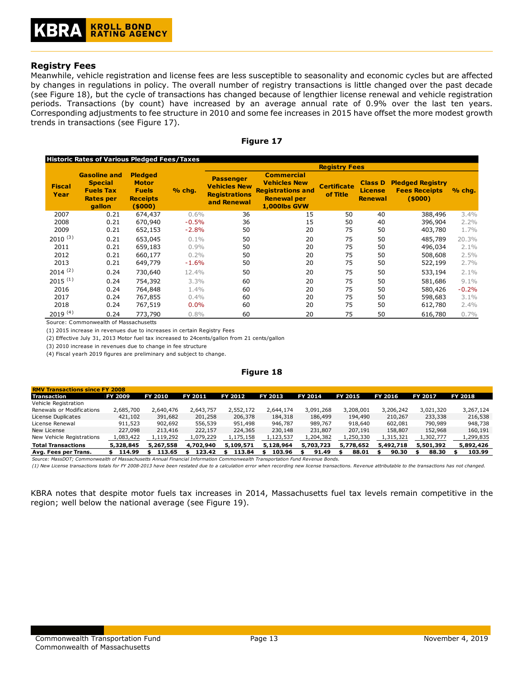### **Registry Fees**

Meanwhile, vehicle registration and license fees are less susceptible to seasonality and economic cycles but are affected by changes in regulations in policy. The overall number of registry transactions is little changed over the past decade (see Figure 18), but the cycle of transactions has changed because of lengthier license renewal and vehicle registration periods. Transactions (by count) have increased by an average annual rate of 0.9% over the last ten years. Corresponding adjustments to fee structure in 2010 and some fee increases in 2015 have offset the more modest growth trends in transactions (see Figure 17).

| ·laur |  |  |
|-------|--|--|

|                       | Historic Rates of Various Pledged Fees/Taxes                                            |                                                                              |         |                                                                                |                                                                                                            | <b>Registry Fees</b>           |                                                    |                                                           |         |
|-----------------------|-----------------------------------------------------------------------------------------|------------------------------------------------------------------------------|---------|--------------------------------------------------------------------------------|------------------------------------------------------------------------------------------------------------|--------------------------------|----------------------------------------------------|-----------------------------------------------------------|---------|
| <b>Fiscal</b><br>Year | <b>Gasoline and</b><br><b>Special</b><br><b>Fuels Tax</b><br><b>Rates per</b><br>gallon | <b>Pledged</b><br><b>Motor</b><br><b>Fuels</b><br><b>Receipts</b><br>(\$000) | % chg.  | <b>Passenger</b><br><b>Vehicles New</b><br><b>Registrations</b><br>and Renewal | <b>Commercial</b><br><b>Vehicles New</b><br><b>Registrations and</b><br><b>Renewal per</b><br>1,000lbs GVW | <b>Certificate</b><br>of Title | <b>Class D</b><br><b>License</b><br><b>Renewal</b> | <b>Pledged Registry</b><br><b>Fees Receipts</b><br>(5000) | % chg.  |
| 2007                  | 0.21                                                                                    | 674,437                                                                      | $0.6\%$ | 36                                                                             | 15                                                                                                         | 50                             | 40                                                 | 388,496                                                   | 3.4%    |
| 2008                  | 0.21                                                                                    | 670,940                                                                      | $-0.5%$ | 36                                                                             | 15                                                                                                         | 50                             | 40                                                 | 396,904                                                   | 2.2%    |
| 2009                  | 0.21                                                                                    | 652,153                                                                      | $-2.8%$ | 50                                                                             | 20                                                                                                         | 75                             | 50                                                 | 403,780                                                   | 1.7%    |
| $2010^{(3)}$          | 0.21                                                                                    | 653,045                                                                      | $0.1\%$ | 50                                                                             | 20                                                                                                         | 75                             | 50                                                 | 485,789                                                   | 20.3%   |
| 2011                  | 0.21                                                                                    | 659,183                                                                      | 0.9%    | 50                                                                             | 20                                                                                                         | 75                             | 50                                                 | 496,034                                                   | 2.1%    |
| 2012                  | 0.21                                                                                    | 660,177                                                                      | 0.2%    | 50                                                                             | 20                                                                                                         | 75                             | 50                                                 | 508,608                                                   | 2.5%    |
| 2013                  | 0.21                                                                                    | 649,779                                                                      | $-1.6%$ | 50                                                                             | 20                                                                                                         | 75                             | 50                                                 | 522,199                                                   | 2.7%    |
| $2014^{(2)}$          | 0.24                                                                                    | 730,640                                                                      | 12.4%   | 50                                                                             | 20                                                                                                         | 75                             | 50                                                 | 533,194                                                   | 2.1%    |
| $2015^{(1)}$          | 0.24                                                                                    | 754,392                                                                      | $3.3\%$ | 60                                                                             | 20                                                                                                         | 75                             | 50                                                 | 581,686                                                   | $9.1\%$ |
| 2016                  | 0.24                                                                                    | 764,848                                                                      | 1.4%    | 60                                                                             | 20                                                                                                         | 75                             | 50                                                 | 580,426                                                   | $-0.2%$ |
| 2017                  | 0.24                                                                                    | 767,855                                                                      | $0.4\%$ | 60                                                                             | 20                                                                                                         | 75                             | 50                                                 | 598,683                                                   | 3.1%    |
| 2018                  | 0.24                                                                                    | 767,519                                                                      | 0.0%    | 60                                                                             | 20                                                                                                         | 75                             | 50                                                 | 612,780                                                   | $2.4\%$ |
| $2019^{(4)}$          | 0.24                                                                                    | 773,790                                                                      | 0.8%    | 60                                                                             | 20                                                                                                         | 75                             | 50                                                 | 616,780                                                   | 0.7%    |

Source: Commonwealth of Massachusetts

(1) 2015 increase in revenues due to increases in certain Registry Fees

(2) Effective July 31, 2013 Motor fuel tax increased to 24cents/gallon from 21 cents/gallon

(3) 2010 increase in revenues due to change in fee structure

(4) Fiscal yearh 2019 figures are preliminary and subject to change.

**Figure 18**

| <b>RMV Transactions since FY 2008</b>                                                                                       |                |                |             |                |           |           |                |                |                |                |
|-----------------------------------------------------------------------------------------------------------------------------|----------------|----------------|-------------|----------------|-----------|-----------|----------------|----------------|----------------|----------------|
| Transaction                                                                                                                 | <b>FY 2009</b> | <b>FY 2010</b> | FY 2011     | <b>FY 2012</b> | FY 2013   | FY 2014   | <b>FY 2015</b> | <b>FY 2016</b> | <b>FY 2017</b> | <b>FY 2018</b> |
| Vehicle Registration                                                                                                        |                |                |             |                |           |           |                |                |                |                |
| Renewals or Modifications                                                                                                   | 2,685,700      | 2,640,476      | 2,643,757   | 2,552,172      | 2,644,174 | 3,091,268 | 3,208,001      | 3,206,242      | 3,021,320      | 3,267,124      |
| License Duplicates                                                                                                          | 421,102        | 391,682        | 201,258     | 206,378        | 184,318   | 186,499   | 194,490        | 210,267        | 233,338        | 216,538        |
| License Renewal                                                                                                             | 911,523        | 902,692        | 556,539     | 951,498        | 946,787   | 989,767   | 918,640        | 602,081        | 790,989        | 948,738        |
| New License                                                                                                                 | 227,098        | 213,416        | 222,157     | 224,365        | 230,148   | 231,807   | 207,191        | 158,807        | 152,968        | 160,191        |
| New Vehicle Registrations                                                                                                   | 1,083,422      | 1,119,292      | 1,079,229   | 1,175,158      | 1,123,537 | 1,204,382 | 1,250,330      | 1,315,321      | 1,302,777      | 1,299,835      |
| <b>Total Transactions</b>                                                                                                   | 5,328,845      | 5,267,558      | 4.702.940   | 5,109,571      | 5,128,964 | 5,703,723 | 5,778,652      | 5,492,718      | 5,501,392      | 5,892,426      |
| Avg. Fees per Trans.                                                                                                        | 114.99         | 113.65<br>S.   | 123.42<br>s | 113.84         | 103.96    | 91.49     | 88.01<br>S.    | 90.30          | 88.30          | 103.99         |
| Source: MassDOT; Commonwealth of Massachusetts Annual Financial Information Commonwealth Transportation Fund Revenue Bonds. |                |                |             |                |           |           |                |                |                |                |

*(1) New License transactions totals for FY 2008-2013 have been restated due to a calculation error when recording new license transactions. Revenue attributable to the transactions has not changed.*

KBRA notes that despite motor fuels tax increases in 2014, Massachusetts fuel tax levels remain competitive in the region; well below the national average (see Figure 19).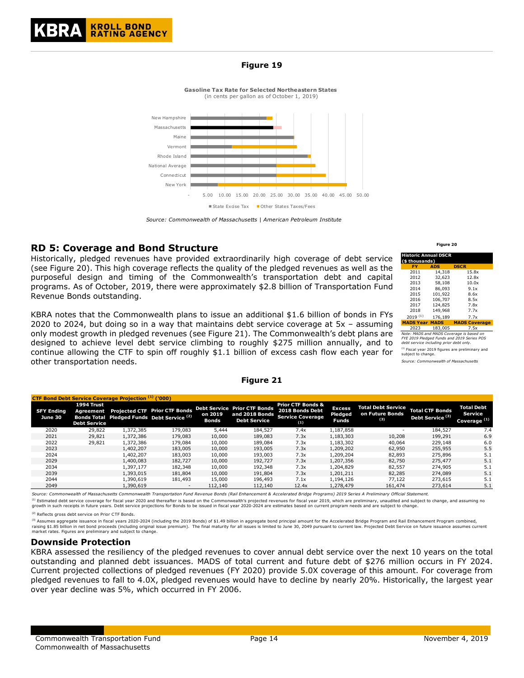### **Figure 19**

**Gasoline Tax Rate for Selected Northeastern States** (in cents per gallon as of October 1, 2019)



*Source: Commonwealth of Massachusetts | American Petroleum Institute*

# **RD 5: Coverage and Bond Structure**

Historically, pledged revenues have provided extraordinarily high coverage of debt service (see Figure 20). This high coverage reflects the quality of the pledged revenues as well as the purposeful design and timing of the Commonwealth's transportation debt and capital programs. As of October, 2019, there were approximately \$2.8 billion of Transportation Fund Revenue Bonds outstanding.

KBRA notes that the Commonwealth plans to issue an additional \$1.6 billion of bonds in FYs 2020 to 2024, but doing so in a way that maintains debt service coverage at 5x – assuming only modest growth in pledged revenues (see Figure 21). The Commonwealth's debt plans are designed to achieve level debt service climbing to roughly \$275 million annually, and to continue allowing the CTF to spin off roughly \$1.1 billion of excess cash flow each year for other transportation needs.

|                                     |                                                | <b>CTF Bond Debt Service Coverage Projection (1) ('000)</b> |                                                                                               |                         |                                                                              |                                                                                   |                                          |                                                     |                                                       |                                                         |
|-------------------------------------|------------------------------------------------|-------------------------------------------------------------|-----------------------------------------------------------------------------------------------|-------------------------|------------------------------------------------------------------------------|-----------------------------------------------------------------------------------|------------------------------------------|-----------------------------------------------------|-------------------------------------------------------|---------------------------------------------------------|
| <b>SFY Ending</b><br><b>June 30</b> | 1994 Trust<br>Agreement<br><b>Debt Service</b> |                                                             | <b>Projected CTF Prior CTF Bonds</b><br>Bonds Total Pledged Funds Debt Service <sup>(2)</sup> | on 2019<br><b>Bonds</b> | <b>Debt Service Prior CTF Bonds</b><br>and 2018 Bonds<br><b>Debt Service</b> | <b>Prior CTF Bonds &amp;</b><br>2018 Bonds Debt<br><b>Service Coverage</b><br>(1) | <b>Excess</b><br>Pledged<br><b>Funds</b> | <b>Total Debt Service</b><br>on Future Bonds<br>(3) | <b>Total CTF Bonds</b><br>Debt Service <sup>(3)</sup> | <b>Total Debt</b><br>Service<br>Coverage <sup>(1)</sup> |
| 2020                                | 29,822                                         | 1,372,385                                                   | 179,083                                                                                       | 5,444                   | 184.527                                                                      | 7.4x                                                                              | 1,187,858                                | $\overline{\phantom{0}}$                            | 184,527                                               | 7.4                                                     |
| 2021                                | 29,821                                         | 1,372,386                                                   | 179,083                                                                                       | 10,000                  | 189,083                                                                      | 7.3x                                                                              | 1,183,303                                | 10,208                                              | 199,291                                               | 6.9                                                     |
| 2022                                | 29,821                                         | 1.372.386                                                   | 179,084                                                                                       | 10,000                  | 189.084                                                                      | 7.3x                                                                              | 1,183,302                                | 40.064                                              | 229,148                                               | 6.0                                                     |
| 2023                                |                                                | 1,402,207                                                   | 183,005                                                                                       | 10,000                  | 193,005                                                                      | 7.3x                                                                              | 1,209,202                                | 62,950                                              | 255,955                                               | 5.5                                                     |
| 2024                                |                                                | 1.402.207                                                   | 183,003                                                                                       | 10,000                  | 193.003                                                                      | 7.3x                                                                              | 1,209,204                                | 82,893                                              | 275,896                                               | 5.1                                                     |
| 2029                                |                                                | 1,400,083                                                   | 182,727                                                                                       | 10,000                  | 192.727                                                                      | 7.3x                                                                              | 1,207,356                                | 82,750                                              | 275,477                                               | 5.1                                                     |
| 2034                                |                                                | 1.397.177                                                   | 182,348                                                                                       | 10,000                  | 192,348                                                                      | 7.3x                                                                              | 1,204,829                                | 82,557                                              | 274,905                                               | 5.1                                                     |
| 2039                                |                                                | 1,393,015                                                   | 181,804                                                                                       | 10,000                  | 191.804                                                                      | 7.3x                                                                              | 1,201,211                                | 82,285                                              | 274,089                                               | 5.1                                                     |
| 2044                                |                                                | 1.390.619                                                   | 181,493                                                                                       | 15,000                  | 196,493                                                                      | 7.1x                                                                              | 1,194,126                                | 77.122                                              | 273.615                                               | 5.1                                                     |
| 2049                                |                                                | 1,390,619                                                   | $\overline{\phantom{a}}$                                                                      | 112,140                 | 112,140                                                                      | 12.4x                                                                             | 1,278,479                                | 161,474                                             | 273,614                                               | 5.1                                                     |

**Figure 21**

*Source: Commonwealth of Massachusetts Commonwealth Transportation Fund Revenue Bonds (Rail Enhancement & Accelerated Bridge Programs) 2019 Series A Preliminary Official Statement.* <sup>(1)</sup> Estimated debt service coverage for fiscal year 2020 and thereafter is based on the Commonwealth's projected revenues for fiscal year 2019, which are preliminary, unaudited and subject to change, and assuming no growth in such receipts in future years. Debt service projections for Bonds to be issued in fiscal year 2020-2024 are estimates based on current program needs and are subject to change.

(2) Reflects gross debt service on Prior CTF Bonds.

<sup>(3)</sup> Assumes aggregate issuance in fiscal years 2020-2024 (including the 2019 Bonds) of \$1.49 billion in aggregate bond principal amount for the Accelerated Bridge Program and Rail Enhancement Program combined,<br>raising \$1

### **Downside Protection**

KBRA assessed the resiliency of the pledged revenues to cover annual debt service over the next 10 years on the total outstanding and planned debt issuances. MADS of total current and future debt of \$276 million occurs in FY 2024. Current projected collections of pledged revenues (FY 2020) provide 5.0X coverage of this amount. For coverage from pledged revenues to fall to 4.0X, pledged revenues would have to decline by nearly 20%. Historically, the largest year over year decline was 5%, which occurred in FY 2006.

**Figure 20**

| Historic Annual DSCR  |            |                                          |
|-----------------------|------------|------------------------------------------|
| (\$ thousands)        |            |                                          |
| FY                    | <b>ADS</b> | <b>DSCR</b>                              |
| 2011                  | 14,318     | 15.8x                                    |
| 2012                  | 32.623     | 12.8x                                    |
| 2013                  | 58,108     | 10.0x                                    |
| 2014                  | 86.093     | 9.1x                                     |
| 2015                  | 101.922    | 8.6x                                     |
| 2016                  | 106.707    | 8.5x                                     |
| 2017                  | 124,825    | 7.8x                                     |
| 2018                  | 149,968    | 7.7x                                     |
| $2019^{(1)}$          | 176.189    | 7.7x                                     |
| <b>MADS Year MADS</b> |            | <b>MADS Coverage</b>                     |
| 2023                  | 183,005    | 7.5x                                     |
|                       |            | Vote: MADS and MADS Coverage is based on |

2023 183,005 7.5x *Note: MADS and MADS Coverage is based on FYE 2019 Pledged Funds and 2019 Series POS debt service including prior debt only.* 

<sup>(1)</sup> Fiscal year 2019 figures are preliminary and<br>subject to change.

*Source: Commonwealth of Massachusetts*